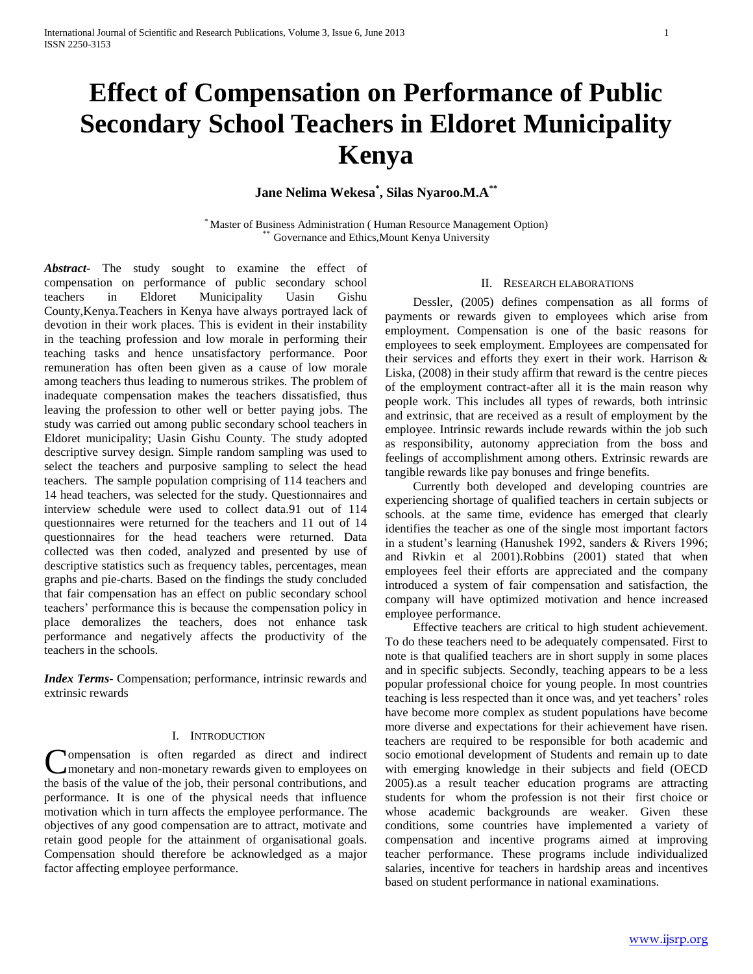# **Effect of Compensation on Performance of Public Secondary School Teachers in Eldoret Municipality Kenya**

**Jane Nelima Wekesa\* , Silas Nyaroo.M.A\*\***

\* Master of Business Administration ( Human Resource Management Option) Governance and Ethics, Mount Kenya University

*Abstract***-** The study sought to examine the effect of compensation on performance of public secondary school teachers in Eldoret Municipality Uasin Gishu County,Kenya.Teachers in Kenya have always portrayed lack of devotion in their work places. This is evident in their instability in the teaching profession and low morale in performing their teaching tasks and hence unsatisfactory performance. Poor remuneration has often been given as a cause of low morale among teachers thus leading to numerous strikes. The problem of inadequate compensation makes the teachers dissatisfied, thus leaving the profession to other well or better paying jobs. The study was carried out among public secondary school teachers in Eldoret municipality; Uasin Gishu County. The study adopted descriptive survey design. Simple random sampling was used to select the teachers and purposive sampling to select the head teachers. The sample population comprising of 114 teachers and 14 head teachers, was selected for the study. Questionnaires and interview schedule were used to collect data.91 out of 114 questionnaires were returned for the teachers and 11 out of 14 questionnaires for the head teachers were returned. Data collected was then coded, analyzed and presented by use of descriptive statistics such as frequency tables, percentages, mean graphs and pie-charts. Based on the findings the study concluded that fair compensation has an effect on public secondary school teachers" performance this is because the compensation policy in place demoralizes the teachers, does not enhance task performance and negatively affects the productivity of the teachers in the schools.

*Index Terms*- Compensation; performance, intrinsic rewards and extrinsic rewards

## I. INTRODUCTION

**Nompensation** is often regarded as direct and indirect Compensation is often regarded as direct and indirect monetary and non-monetary rewards given to employees on the basis of the value of the job, their personal contributions, and performance. It is one of the physical needs that influence motivation which in turn affects the employee performance. The objectives of any good compensation are to attract, motivate and retain good people for the attainment of organisational goals. Compensation should therefore be acknowledged as a major factor affecting employee performance.

# II. RESEARCH ELABORATIONS

 Dessler, (2005) defines compensation as all forms of payments or rewards given to employees which arise from employment. Compensation is one of the basic reasons for employees to seek employment. Employees are compensated for their services and efforts they exert in their work. Harrison & Liska, (2008) in their study affirm that reward is the centre pieces of the employment contract-after all it is the main reason why people work. This includes all types of rewards, both intrinsic and extrinsic, that are received as a result of employment by the employee. Intrinsic rewards include rewards within the job such as responsibility, autonomy appreciation from the boss and feelings of accomplishment among others. Extrinsic rewards are tangible rewards like pay bonuses and fringe benefits.

 Currently both developed and developing countries are experiencing shortage of qualified teachers in certain subjects or schools. at the same time, evidence has emerged that clearly identifies the teacher as one of the single most important factors in a student's learning (Hanushek 1992, sanders & Rivers 1996; and Rivkin et al 2001).Robbins (2001) stated that when employees feel their efforts are appreciated and the company introduced a system of fair compensation and satisfaction, the company will have optimized motivation and hence increased employee performance.

 Effective teachers are critical to high student achievement. To do these teachers need to be adequately compensated. First to note is that qualified teachers are in short supply in some places and in specific subjects. Secondly, teaching appears to be a less popular professional choice for young people. In most countries teaching is less respected than it once was, and yet teachers' roles have become more complex as student populations have become more diverse and expectations for their achievement have risen. teachers are required to be responsible for both academic and socio emotional development of Students and remain up to date with emerging knowledge in their subjects and field (OECD 2005).as a result teacher education programs are attracting students for whom the profession is not their first choice or whose academic backgrounds are weaker. Given these conditions, some countries have implemented a variety of compensation and incentive programs aimed at improving teacher performance. These programs include individualized salaries, incentive for teachers in hardship areas and incentives based on student performance in national examinations.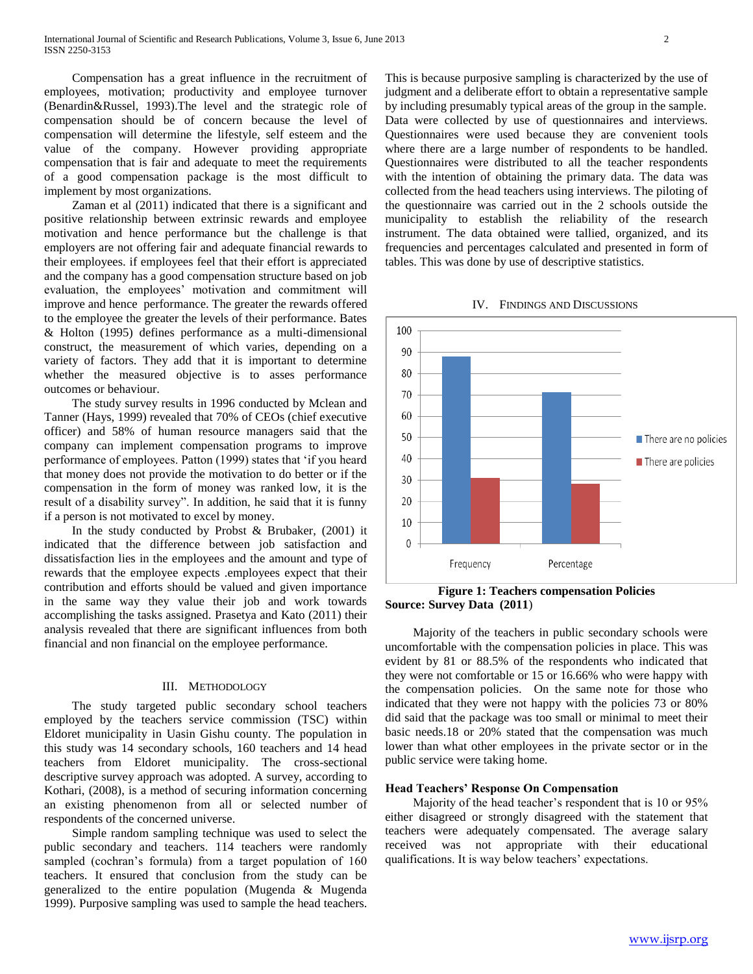Compensation has a great influence in the recruitment of employees, motivation; productivity and employee turnover (Benardin&Russel, 1993).The level and the strategic role of compensation should be of concern because the level of compensation will determine the lifestyle, self esteem and the value of the company. However providing appropriate compensation that is fair and adequate to meet the requirements of a good compensation package is the most difficult to implement by most organizations.

 Zaman et al (2011) indicated that there is a significant and positive relationship between extrinsic rewards and employee motivation and hence performance but the challenge is that employers are not offering fair and adequate financial rewards to their employees. if employees feel that their effort is appreciated and the company has a good compensation structure based on job evaluation, the employees' motivation and commitment will improve and hence performance. The greater the rewards offered to the employee the greater the levels of their performance. Bates & Holton (1995) defines performance as a multi-dimensional construct, the measurement of which varies, depending on a variety of factors. They add that it is important to determine whether the measured objective is to asses performance outcomes or behaviour.

 The study survey results in 1996 conducted by Mclean and Tanner (Hays, 1999) revealed that 70% of CEOs (chief executive officer) and 58% of human resource managers said that the company can implement compensation programs to improve performance of employees. Patton (1999) states that "if you heard that money does not provide the motivation to do better or if the compensation in the form of money was ranked low, it is the result of a disability survey". In addition, he said that it is funny if a person is not motivated to excel by money.

 In the study conducted by Probst & Brubaker, (2001) it indicated that the difference between job satisfaction and dissatisfaction lies in the employees and the amount and type of rewards that the employee expects .employees expect that their contribution and efforts should be valued and given importance in the same way they value their job and work towards accomplishing the tasks assigned. Prasetya and Kato (2011) their analysis revealed that there are significant influences from both financial and non financial on the employee performance.

#### III. METHODOLOGY

 The study targeted public secondary school teachers employed by the teachers service commission (TSC) within Eldoret municipality in Uasin Gishu county. The population in this study was 14 secondary schools, 160 teachers and 14 head teachers from Eldoret municipality. The cross-sectional descriptive survey approach was adopted. A survey, according to Kothari, (2008), is a method of securing information concerning an existing phenomenon from all or selected number of respondents of the concerned universe.

 Simple random sampling technique was used to select the public secondary and teachers. 114 teachers were randomly sampled (cochran's formula) from a target population of 160 teachers. It ensured that conclusion from the study can be generalized to the entire population (Mugenda & Mugenda 1999). Purposive sampling was used to sample the head teachers. This is because purposive sampling is characterized by the use of judgment and a deliberate effort to obtain a representative sample by including presumably typical areas of the group in the sample. Data were collected by use of questionnaires and interviews. Questionnaires were used because they are convenient tools where there are a large number of respondents to be handled. Questionnaires were distributed to all the teacher respondents with the intention of obtaining the primary data. The data was collected from the head teachers using interviews. The piloting of the questionnaire was carried out in the 2 schools outside the municipality to establish the reliability of the research instrument. The data obtained were tallied, organized, and its frequencies and percentages calculated and presented in form of tables. This was done by use of descriptive statistics.





**Figure 1: Teachers compensation Policies Source: Survey Data (2011**)

 Majority of the teachers in public secondary schools were uncomfortable with the compensation policies in place. This was evident by 81 or 88.5% of the respondents who indicated that they were not comfortable or 15 or 16.66% who were happy with the compensation policies. On the same note for those who indicated that they were not happy with the policies 73 or 80% did said that the package was too small or minimal to meet their basic needs.18 or 20% stated that the compensation was much lower than what other employees in the private sector or in the public service were taking home.

#### **Head Teachers' Response On Compensation**

Majority of the head teacher's respondent that is 10 or 95% either disagreed or strongly disagreed with the statement that teachers were adequately compensated. The average salary received was not appropriate with their educational qualifications. It is way below teachers' expectations.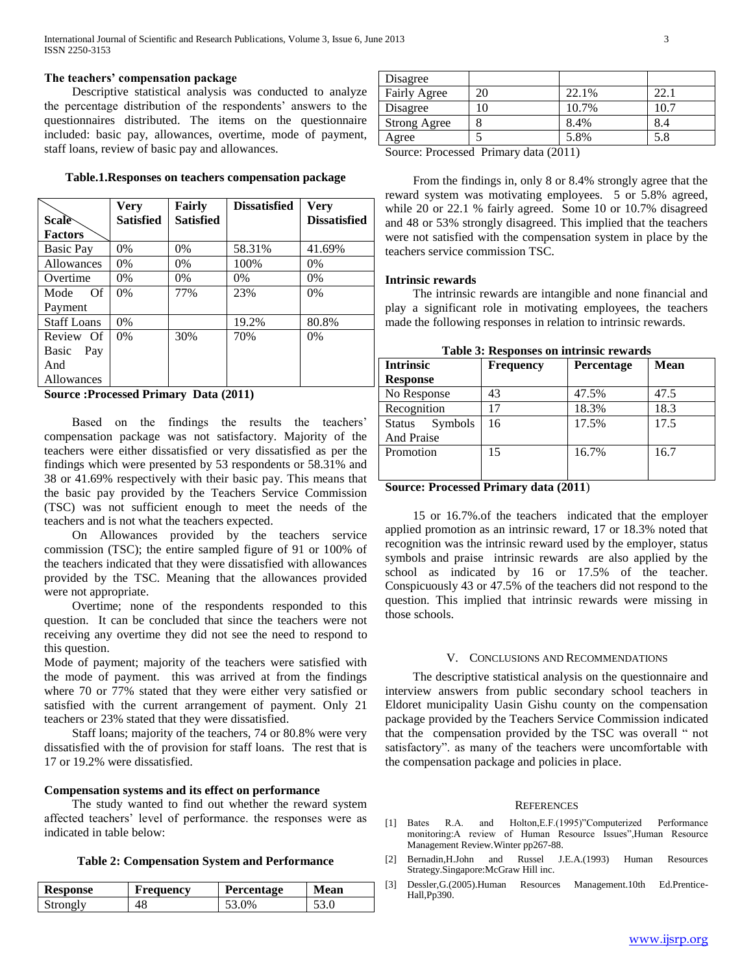## **The teachers' compensation package**

 Descriptive statistical analysis was conducted to analyze the percentage distribution of the respondents" answers to the questionnaires distributed. The items on the questionnaire included: basic pay, allowances, overtime, mode of payment, staff loans, review of basic pay and allowances.

|                    | Very             | Fairly           | <b>Dissatisfied</b> | <b>Very</b>         |
|--------------------|------------------|------------------|---------------------|---------------------|
| <b>Scale</b>       | <b>Satisfied</b> | <b>Satisfied</b> |                     | <b>Dissatisfied</b> |
| <b>Factors</b>     |                  |                  |                     |                     |
| Basic Pay          | $0\%$            | $0\%$            | 58.31%              | 41.69%              |
| Allowances         | 0%               | 0%               | 100%                | 0%                  |
| Overtime           | 0%               | $0\%$            | $0\%$               | $0\%$               |
| Of<br>Mode         | $0\%$            | 77%              | 23%                 | 0%                  |
| Payment            |                  |                  |                     |                     |
| <b>Staff Loans</b> | $0\%$            |                  | 19.2%               | 80.8%               |
| Review Of          | $0\%$            | 30%              | 70%                 | $0\%$               |
| Pay<br>Basic       |                  |                  |                     |                     |
| And                |                  |                  |                     |                     |
| Allowances         |                  |                  |                     |                     |

**Table.1.Responses on teachers compensation package**

## **Source :Processed Primary Data (2011)**

Based on the findings the results the teachers' compensation package was not satisfactory. Majority of the teachers were either dissatisfied or very dissatisfied as per the findings which were presented by 53 respondents or 58.31% and 38 or 41.69% respectively with their basic pay. This means that the basic pay provided by the Teachers Service Commission (TSC) was not sufficient enough to meet the needs of the teachers and is not what the teachers expected.

 On Allowances provided by the teachers service commission (TSC); the entire sampled figure of 91 or 100% of the teachers indicated that they were dissatisfied with allowances provided by the TSC. Meaning that the allowances provided were not appropriate.

 Overtime; none of the respondents responded to this question. It can be concluded that since the teachers were not receiving any overtime they did not see the need to respond to this question.

Mode of payment; majority of the teachers were satisfied with the mode of payment. this was arrived at from the findings where 70 or 77% stated that they were either very satisfied or satisfied with the current arrangement of payment. Only 21 teachers or 23% stated that they were dissatisfied.

 Staff loans; majority of the teachers, 74 or 80.8% were very dissatisfied with the of provision for staff loans. The rest that is 17 or 19.2% were dissatisfied.

## **Compensation systems and its effect on performance**

 The study wanted to find out whether the reward system affected teachers' level of performance. the responses were as indicated in table below:

**Table 2: Compensation System and Performance**

| <b>Response</b> | Frequency | Percentage | <b>Mean</b> |
|-----------------|-----------|------------|-------------|
| Strongly        | 48        | $(1)$ %    | JJ.V        |

| Disagree            |    |       |      |
|---------------------|----|-------|------|
| Fairly Agree        | າເ | 22.1% | 22.1 |
| Disagree            |    | 10.7% | 10.7 |
| <b>Strong Agree</b> |    | 8.4%  | 8.4  |
| Agree               |    | 5.8%  | 5.8  |

Source: Processed Primary data (2011)

 From the findings in, only 8 or 8.4% strongly agree that the reward system was motivating employees. 5 or 5.8% agreed, while 20 or 22.1 % fairly agreed. Some 10 or 10.7% disagreed and 48 or 53% strongly disagreed. This implied that the teachers were not satisfied with the compensation system in place by the teachers service commission TSC.

#### **Intrinsic rewards**

 The intrinsic rewards are intangible and none financial and play a significant role in motivating employees, the teachers made the following responses in relation to intrinsic rewards.

| Table 5. Responses on millinsic rewards |                  |                   |             |  |  |
|-----------------------------------------|------------------|-------------------|-------------|--|--|
| <b>Intrinsic</b>                        | <b>Frequency</b> | <b>Percentage</b> | <b>Mean</b> |  |  |
| <b>Response</b>                         |                  |                   |             |  |  |
| No Response                             | 43               | 47.5%             | 47.5        |  |  |
| Recognition                             | 17               | 18.3%             | 18.3        |  |  |
| Status Symbols                          | 16               | 17.5%             | 17.5        |  |  |
| <b>And Praise</b>                       |                  |                   |             |  |  |
| Promotion                               | 15               | 16.7%             | 16.7        |  |  |
|                                         |                  |                   |             |  |  |
|                                         |                  |                   |             |  |  |

**Table 3: Responses on intrinsic rewards**

# **Source: Processed Primary data (2011**)

 15 or 16.7%.of the teachers indicated that the employer applied promotion as an intrinsic reward, 17 or 18.3% noted that recognition was the intrinsic reward used by the employer, status symbols and praise intrinsic rewards are also applied by the school as indicated by 16 or 17.5% of the teacher. Conspicuously 43 or 47.5% of the teachers did not respond to the question. This implied that intrinsic rewards were missing in those schools.

#### V. CONCLUSIONS AND RECOMMENDATIONS

 The descriptive statistical analysis on the questionnaire and interview answers from public secondary school teachers in Eldoret municipality Uasin Gishu county on the compensation package provided by the Teachers Service Commission indicated that the compensation provided by the TSC was overall " not satisfactory". as many of the teachers were uncomfortable with the compensation package and policies in place.

#### **REFERENCES**

- [1] Bates R.A. and Holton,E.F.(1995)"Computerized Performance monitoring:A review of Human Resource Issues",Human Resource Management Review.Winter pp267-88.
- [2] Bernadin,H.John and Russel J.E.A.(1993) Human Resources Strategy.Singapore:McGraw Hill inc.
- [3] Dessler,G.(2005).Human Resources Management.10th Ed.Prentice-Hall,Pp390.